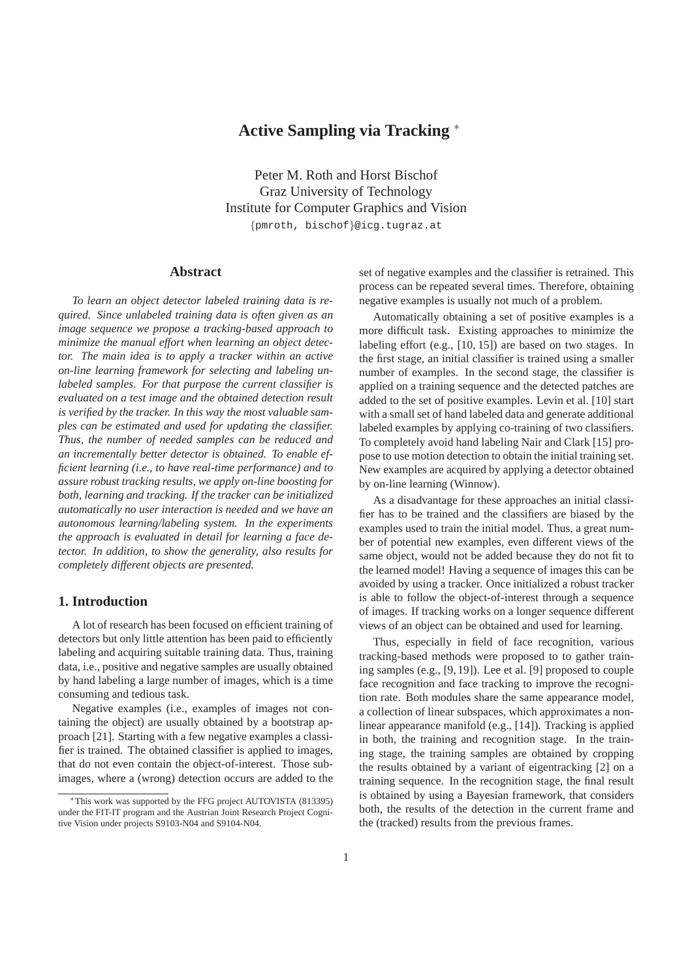# **Active Sampling via Tracking** <sup>∗</sup>

Peter M. Roth and Horst Bischof Graz University of Technology Institute for Computer Graphics and Vision {pmroth, bischof}@icg.tugraz.at

# **Abstract**

*To learn an object detector labeled training data is required. Since unlabeled training data is often given as an image sequence we propose a tracking-based approach to minimize the manual effort when learning an object detector. The main idea is to apply a tracker within an active on-line learning framework for selecting and labeling unlabeled samples. For that purpose the current classifier is evaluated on a test image and the obtained detection result is verified by the tracker. In this way the most valuable samples can be estimated and used for updating the classifier. Thus, the number of needed samples can be reduced and an incrementally better detector is obtained. To enable efficient learning (i.e., to have real-time performance) and to assure robust tracking results, we apply on-line boosting for both, learning and tracking. If the tracker can be initialized automatically no user interaction is needed and we have an autonomous learning/labeling system. In the experiments the approach is evaluated in detail for learning a face detector. In addition, to show the generality, also results for completely different objects are presented.*

#### **1. Introduction**

A lot of research has been focused on efficient training of detectors but only little attention has been paid to efficiently labeling and acquiring suitable training data. Thus, training data, i.e., positive and negative samples are usually obtained by hand labeling a large number of images, which is a time consuming and tedious task.

Negative examples (i.e., examples of images not containing the object) are usually obtained by a bootstrap approach [21]. Starting with a few negative examples a classifier is trained. The obtained classifier is applied to images, that do not even contain the object-of-interest. Those subimages, where a (wrong) detection occurs are added to the set of negative examples and the classifier is retrained. This process can be repeated several times. Therefore, obtaining negative examples is usually not much of a problem.

Automatically obtaining a set of positive examples is a more difficult task. Existing approaches to minimize the labeling effort (e.g., [10, 15]) are based on two stages. In the first stage, an initial classifier is trained using a smaller number of examples. In the second stage, the classifier is applied on a training sequence and the detected patches are added to the set of positive examples. Levin et al. [10] start with a small set of hand labeled data and generate additional labeled examples by applying co-training of two classifiers. To completely avoid hand labeling Nair and Clark [15] propose to use motion detection to obtain the initial training set. New examples are acquired by applying a detector obtained by on-line learning (Winnow).

As a disadvantage for these approaches an initial classifier has to be trained and the classifiers are biased by the examples used to train the initial model. Thus, a great number of potential new examples, even different views of the same object, would not be added because they do not fit to the learned model! Having a sequence of images this can be avoided by using a tracker. Once initialized a robust tracker is able to follow the object-of-interest through a sequence of images. If tracking works on a longer sequence different views of an object can be obtained and used for learning.

Thus, especially in field of face recognition, various tracking-based methods were proposed to to gather training samples (e.g., [9, 19]). Lee et al. [9] proposed to couple face recognition and face tracking to improve the recognition rate. Both modules share the same appearance model, a collection of linear subspaces, which approximates a nonlinear appearance manifold (e.g., [14]). Tracking is applied in both, the training and recognition stage. In the training stage, the training samples are obtained by cropping the results obtained by a variant of eigentracking [2] on a training sequence. In the recognition stage, the final result is obtained by using a Bayesian framework, that considers both, the results of the detection in the current frame and the (tracked) results from the previous frames.

<sup>∗</sup>This work was supported by the FFG project AUTOVISTA (813395) under the FIT-IT program and the Austrian Joint Research Project Cognitive Vision under projects S9103-N04 and S9104-N04.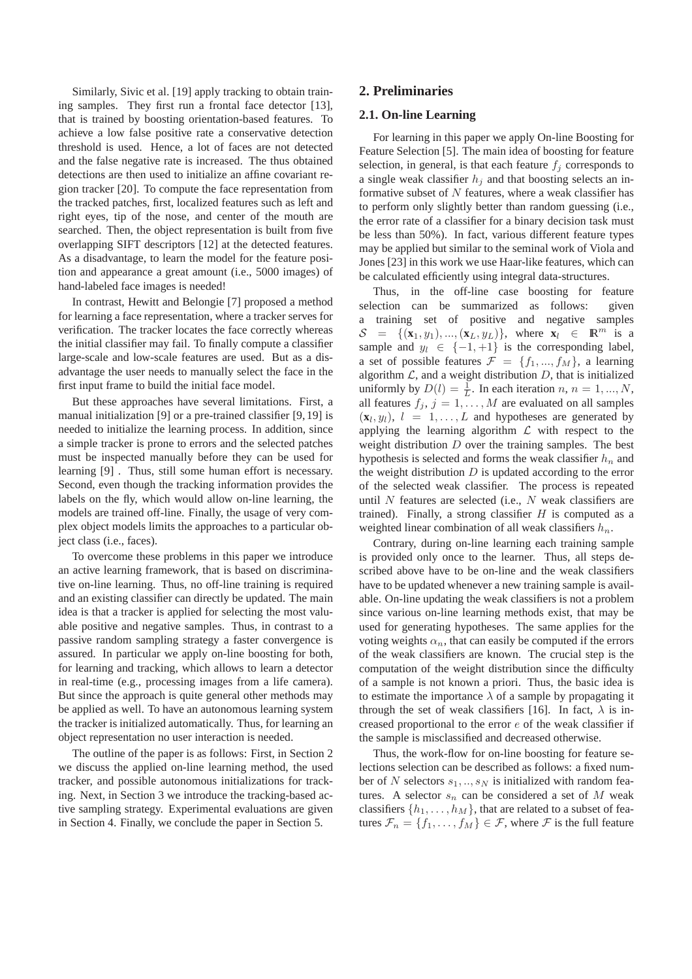Similarly, Sivic et al. [19] apply tracking to obtain training samples. They first run a frontal face detector [13], that is trained by boosting orientation-based features. To achieve a low false positive rate a conservative detection threshold is used. Hence, a lot of faces are not detected and the false negative rate is increased. The thus obtained detections are then used to initialize an affine covariant region tracker [20]. To compute the face representation from the tracked patches, first, localized features such as left and right eyes, tip of the nose, and center of the mouth are searched. Then, the object representation is built from five overlapping SIFT descriptors [12] at the detected features. As a disadvantage, to learn the model for the feature position and appearance a great amount (i.e., 5000 images) of hand-labeled face images is needed!

In contrast, Hewitt and Belongie [7] proposed a method for learning a face representation, where a tracker serves for verification. The tracker locates the face correctly whereas the initial classifier may fail. To finally compute a classifier large-scale and low-scale features are used. But as a disadvantage the user needs to manually select the face in the first input frame to build the initial face model.

But these approaches have several limitations. First, a manual initialization [9] or a pre-trained classifier [9, 19] is needed to initialize the learning process. In addition, since a simple tracker is prone to errors and the selected patches must be inspected manually before they can be used for learning [9] . Thus, still some human effort is necessary. Second, even though the tracking information provides the labels on the fly, which would allow on-line learning, the models are trained off-line. Finally, the usage of very complex object models limits the approaches to a particular object class (i.e., faces).

To overcome these problems in this paper we introduce an active learning framework, that is based on discriminative on-line learning. Thus, no off-line training is required and an existing classifier can directly be updated. The main idea is that a tracker is applied for selecting the most valuable positive and negative samples. Thus, in contrast to a passive random sampling strategy a faster convergence is assured. In particular we apply on-line boosting for both, for learning and tracking, which allows to learn a detector in real-time (e.g., processing images from a life camera). But since the approach is quite general other methods may be applied as well. To have an autonomous learning system the tracker is initialized automatically. Thus, for learning an object representation no user interaction is needed.

The outline of the paper is as follows: First, in Section 2 we discuss the applied on-line learning method, the used tracker, and possible autonomous initializations for tracking. Next, in Section 3 we introduce the tracking-based active sampling strategy. Experimental evaluations are given in Section 4. Finally, we conclude the paper in Section 5.

## **2. Preliminaries**

## **2.1. On-line Learning**

For learning in this paper we apply On-line Boosting for Feature Selection [5]. The main idea of boosting for feature selection, in general, is that each feature  $f_i$  corresponds to a single weak classifier  $h_i$  and that boosting selects an informative subset of  $N$  features, where a weak classifier has to perform only slightly better than random guessing (i.e., the error rate of a classifier for a binary decision task must be less than 50%). In fact, various different feature types may be applied but similar to the seminal work of Viola and Jones [23] in this work we use Haar-like features, which can be calculated efficiently using integral data-structures.

Thus, in the off-line case boosting for feature selection can be summarized as follows: given a training set of positive and negative samples  $S = \{(\mathbf{x}_1, y_1), ..., (\mathbf{x}_L, y_L)\}\$ , where  $\mathbf{x}_l \in \mathbb{R}^m$  is a sample and  $y_l \in \{-1, +1\}$  is the corresponding label, a set of possible features  $\mathcal{F} = \{f_1, ..., f_M\}$ , a learning algorithm  $\mathcal{L}$ , and a weight distribution  $D$ , that is initialized uniformly by  $D(l) = \frac{1}{L}$ . In each iteration  $n, n = 1, ..., N$ , all features  $f_j$ ,  $j = 1, \ldots, M$  are evaluated on all samples  $(\mathbf{x}_l, y_l)$ ,  $l = 1, \dots, L$  and hypotheses are generated by applying the learning algorithm  $\mathcal L$  with respect to the weight distribution  $D$  over the training samples. The best hypothesis is selected and forms the weak classifier  $h_n$  and the weight distribution  $D$  is updated according to the error of the selected weak classifier. The process is repeated until N features are selected (i.e., N weak classifiers are trained). Finally, a strong classifier  $H$  is computed as a weighted linear combination of all weak classifiers  $h_n$ .

Contrary, during on-line learning each training sample is provided only once to the learner. Thus, all steps described above have to be on-line and the weak classifiers have to be updated whenever a new training sample is available. On-line updating the weak classifiers is not a problem since various on-line learning methods exist, that may be used for generating hypotheses. The same applies for the voting weights  $\alpha_n$ , that can easily be computed if the errors of the weak classifiers are known. The crucial step is the computation of the weight distribution since the difficulty of a sample is not known a priori. Thus, the basic idea is to estimate the importance  $\lambda$  of a sample by propagating it through the set of weak classifiers [16]. In fact,  $\lambda$  is increased proportional to the error e of the weak classifier if the sample is misclassified and decreased otherwise.

Thus, the work-flow for on-line boosting for feature selections selection can be described as follows: a fixed number of N selectors  $s_1, ..., s_N$  is initialized with random features. A selector  $s_n$  can be considered a set of M weak classifiers  $\{h_1, \ldots, h_M\}$ , that are related to a subset of features  $\mathcal{F}_n = \{f_1, \ldots, f_M\} \in \mathcal{F}$ , where  $\mathcal F$  is the full feature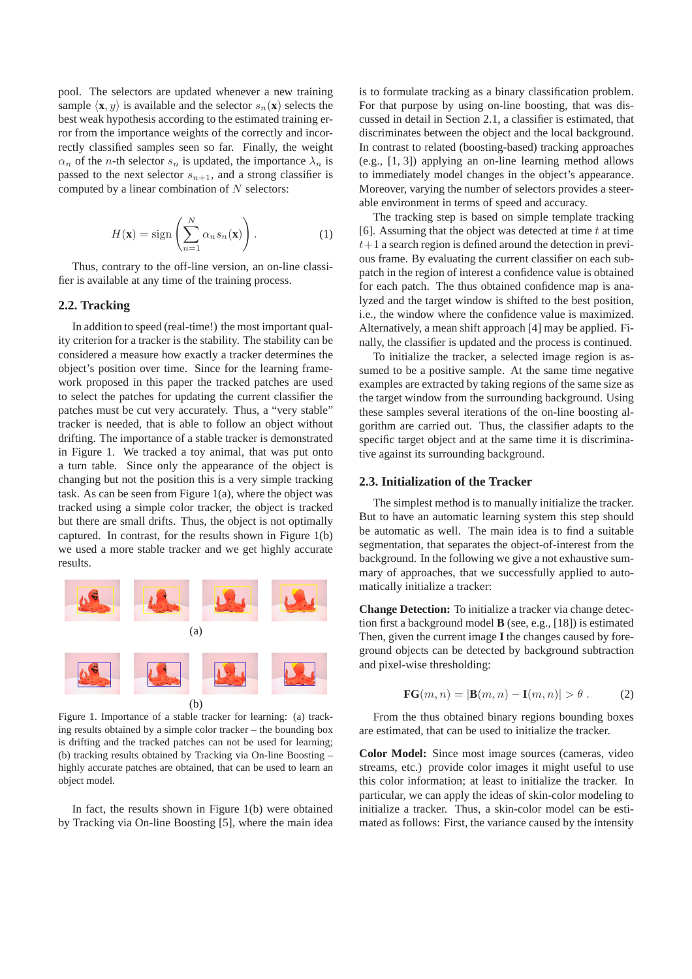pool. The selectors are updated whenever a new training sample  $\langle \mathbf{x}, y \rangle$  is available and the selector  $s_n(\mathbf{x})$  selects the best weak hypothesis according to the estimated training error from the importance weights of the correctly and incorrectly classified samples seen so far. Finally, the weight  $\alpha_n$  of the *n*-th selector  $s_n$  is updated, the importance  $\lambda_n$  is passed to the next selector  $s_{n+1}$ , and a strong classifier is computed by a linear combination of  $N$  selectors:

$$
H(\mathbf{x}) = \text{sign}\left(\sum_{n=1}^{N} \alpha_n s_n(\mathbf{x})\right).
$$
 (1)

Thus, contrary to the off-line version, an on-line classifier is available at any time of the training process.

#### **2.2. Tracking**

In addition to speed (real-time!) the most important quality criterion for a tracker is the stability. The stability can be considered a measure how exactly a tracker determines the object's position over time. Since for the learning framework proposed in this paper the tracked patches are used to select the patches for updating the current classifier the patches must be cut very accurately. Thus, a "very stable" tracker is needed, that is able to follow an object without drifting. The importance of a stable tracker is demonstrated in Figure 1. We tracked a toy animal, that was put onto a turn table. Since only the appearance of the object is changing but not the position this is a very simple tracking task. As can be seen from Figure 1(a), where the object was tracked using a simple color tracker, the object is tracked but there are small drifts. Thus, the object is not optimally captured. In contrast, for the results shown in Figure 1(b) we used a more stable tracker and we get highly accurate results.



Figure 1. Importance of a stable tracker for learning: (a) tracking results obtained by a simple color tracker – the bounding box is drifting and the tracked patches can not be used for learning; (b) tracking results obtained by Tracking via On-line Boosting – highly accurate patches are obtained, that can be used to learn an object model.

In fact, the results shown in Figure 1(b) were obtained by Tracking via On-line Boosting [5], where the main idea is to formulate tracking as a binary classification problem. For that purpose by using on-line boosting, that was discussed in detail in Section 2.1, a classifier is estimated, that discriminates between the object and the local background. In contrast to related (boosting-based) tracking approaches (e.g., [1, 3]) applying an on-line learning method allows to immediately model changes in the object's appearance. Moreover, varying the number of selectors provides a steerable environment in terms of speed and accuracy.

The tracking step is based on simple template tracking [6]. Assuming that the object was detected at time  $t$  at time  $t+1$  a search region is defined around the detection in previous frame. By evaluating the current classifier on each subpatch in the region of interest a confidence value is obtained for each patch. The thus obtained confidence map is analyzed and the target window is shifted to the best position, i.e., the window where the confidence value is maximized. Alternatively, a mean shift approach [4] may be applied. Finally, the classifier is updated and the process is continued.

To initialize the tracker, a selected image region is assumed to be a positive sample. At the same time negative examples are extracted by taking regions of the same size as the target window from the surrounding background. Using these samples several iterations of the on-line boosting algorithm are carried out. Thus, the classifier adapts to the specific target object and at the same time it is discriminative against its surrounding background.

#### **2.3. Initialization of the Tracker**

The simplest method is to manually initialize the tracker. But to have an automatic learning system this step should be automatic as well. The main idea is to find a suitable segmentation, that separates the object-of-interest from the background. In the following we give a not exhaustive summary of approaches, that we successfully applied to automatically initialize a tracker:

**Change Detection:** To initialize a tracker via change detection first a background model **B** (see, e.g., [18]) is estimated Then, given the current image **I** the changes caused by foreground objects can be detected by background subtraction and pixel-wise thresholding:

$$
\mathbf{FG}(m,n) = |\mathbf{B}(m,n) - \mathbf{I}(m,n)| > \theta.
$$
 (2)

From the thus obtained binary regions bounding boxes are estimated, that can be used to initialize the tracker.

**Color Model:** Since most image sources (cameras, video streams, etc.) provide color images it might useful to use this color information; at least to initialize the tracker. In particular, we can apply the ideas of skin-color modeling to initialize a tracker. Thus, a skin-color model can be estimated as follows: First, the variance caused by the intensity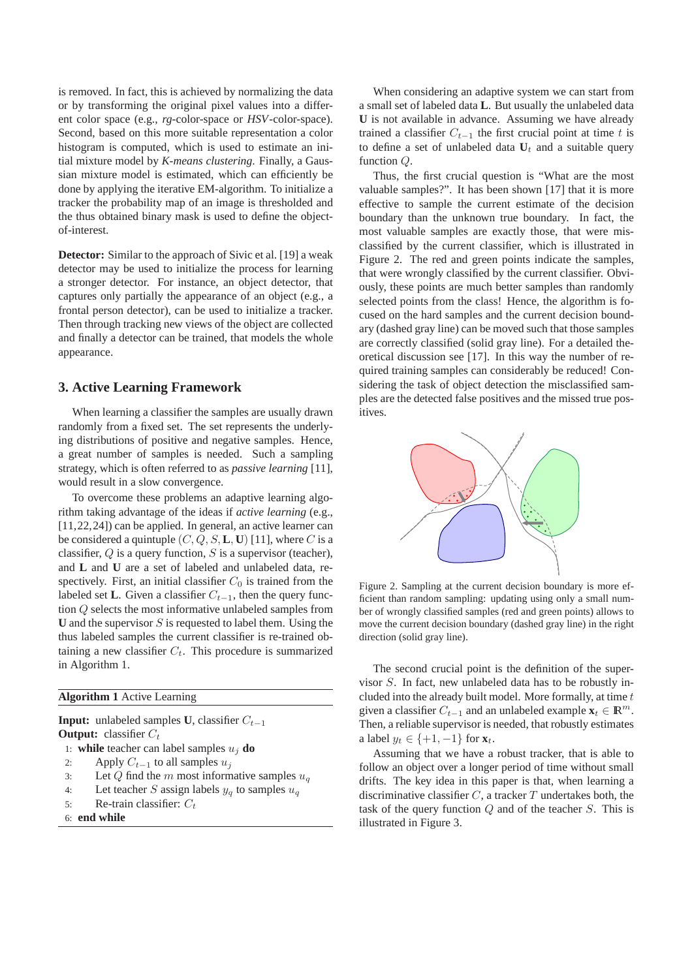is removed. In fact, this is achieved by normalizing the data or by transforming the original pixel values into a different color space (e.g., *rg*-color-space or *HSV*-color-space). Second, based on this more suitable representation a color histogram is computed, which is used to estimate an initial mixture model by *K-means clustering*. Finally, a Gaussian mixture model is estimated, which can efficiently be done by applying the iterative EM-algorithm. To initialize a tracker the probability map of an image is thresholded and the thus obtained binary mask is used to define the objectof-interest.

**Detector:** Similar to the approach of Sivic et al. [19] a weak detector may be used to initialize the process for learning a stronger detector. For instance, an object detector, that captures only partially the appearance of an object (e.g., a frontal person detector), can be used to initialize a tracker. Then through tracking new views of the object are collected and finally a detector can be trained, that models the whole appearance.

## **3. Active Learning Framework**

When learning a classifier the samples are usually drawn randomly from a fixed set. The set represents the underlying distributions of positive and negative samples. Hence, a great number of samples is needed. Such a sampling strategy, which is often referred to as *passive learning* [11], would result in a slow convergence.

To overcome these problems an adaptive learning algorithm taking advantage of the ideas if *active learning* (e.g., [11,22,24]) can be applied. In general, an active learner can be considered a quintuple  $(C, Q, S, L, U)$  [11], where C is a classifier,  $Q$  is a query function,  $S$  is a supervisor (teacher), and **L** and **U** are a set of labeled and unlabeled data, respectively. First, an initial classifier  $C_0$  is trained from the labeled set **L**. Given a classifier  $C_{t-1}$ , then the query function Q selects the most informative unlabeled samples from U and the supervisor  $S$  is requested to label them. Using the thus labeled samples the current classifier is re-trained obtaining a new classifier  $C_t$ . This procedure is summarized in Algorithm 1.

## **Algorithm 1** Active Learning

**Input:** unlabeled samples **U**, classifier  $C_{t-1}$ **Output:** classifier  $C_t$ 

- 1: **while** teacher can label samples  $u_i$  **do**
- 2: Apply  $C_{t-1}$  to all samples  $u_i$
- 3: Let Q find the m most informative samples  $u_q$
- 4: Let teacher S assign labels  $y_q$  to samples  $u_q$
- 5: Re-train classifier:  $C_t$
- 6: **end while**

When considering an adaptive system we can start from a small set of labeled data **L**. But usually the unlabeled data **U** is not available in advance. Assuming we have already trained a classifier  $C_{t-1}$  the first crucial point at time t is to define a set of unlabeled data  $U_t$  and a suitable query function Q.

Thus, the first crucial question is "What are the most valuable samples?". It has been shown [17] that it is more effective to sample the current estimate of the decision boundary than the unknown true boundary. In fact, the most valuable samples are exactly those, that were misclassified by the current classifier, which is illustrated in Figure 2. The red and green points indicate the samples, that were wrongly classified by the current classifier. Obviously, these points are much better samples than randomly selected points from the class! Hence, the algorithm is focused on the hard samples and the current decision boundary (dashed gray line) can be moved such that those samples are correctly classified (solid gray line). For a detailed theoretical discussion see [17]. In this way the number of required training samples can considerably be reduced! Considering the task of object detection the misclassified samples are the detected false positives and the missed true positives.



Figure 2. Sampling at the current decision boundary is more efficient than random sampling: updating using only a small number of wrongly classified samples (red and green points) allows to move the current decision boundary (dashed gray line) in the right direction (solid gray line).

The second crucial point is the definition of the supervisor S. In fact, new unlabeled data has to be robustly included into the already built model. More formally, at time  $t$ given a classifier  $C_{t-1}$  and an unlabeled example  $\mathbf{x}_t \in \mathbb{R}^m$ . Then, a reliable supervisor is needed, that robustly estimates a label  $y_t \in \{+1, -1\}$  for  $\mathbf{x}_t$ .

Assuming that we have a robust tracker, that is able to follow an object over a longer period of time without small drifts. The key idea in this paper is that, when learning a discriminative classifier  $C$ , a tracker  $T$  undertakes both, the task of the query function  $Q$  and of the teacher  $S$ . This is illustrated in Figure 3.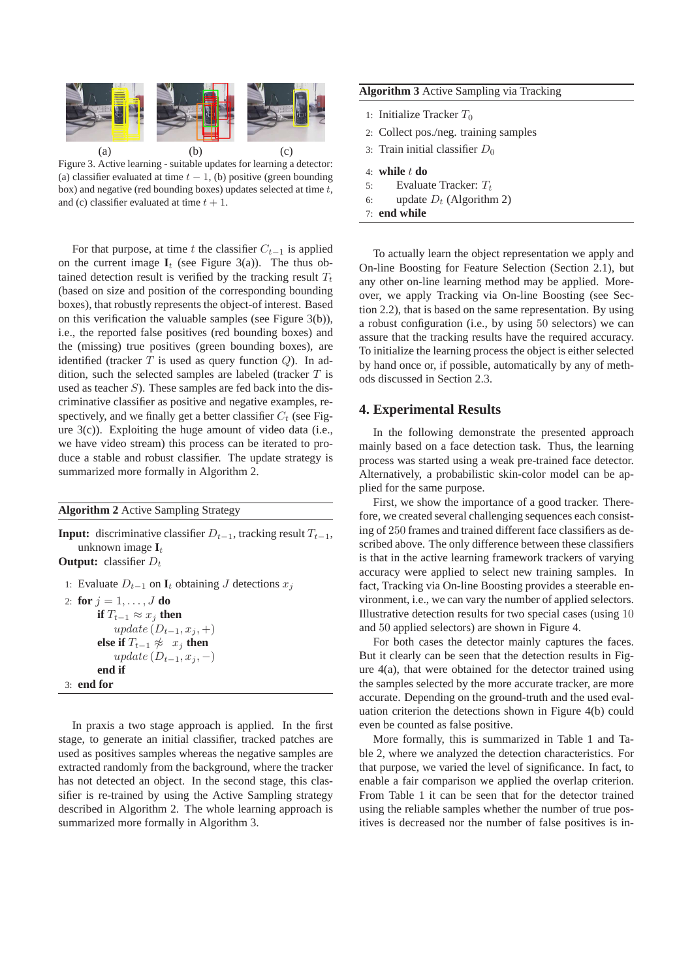

Figure 3. Active learning - suitable updates for learning a detector: (a) classifier evaluated at time  $t - 1$ , (b) positive (green bounding box) and negative (red bounding boxes) updates selected at time t, and (c) classifier evaluated at time  $t + 1$ .

For that purpose, at time t the classifier  $C_{t-1}$  is applied on the current image  $I_t$  (see Figure 3(a)). The thus obtained detection result is verified by the tracking result  $T_t$ (based on size and position of the corresponding bounding boxes), that robustly represents the object-of interest. Based on this verification the valuable samples (see Figure 3(b)), i.e., the reported false positives (red bounding boxes) and the (missing) true positives (green bounding boxes), are identified (tracker  $T$  is used as query function  $Q$ ). In addition, such the selected samples are labeled (tracker  $T$  is used as teacher  $S$ ). These samples are fed back into the discriminative classifier as positive and negative examples, respectively, and we finally get a better classifier  $C_t$  (see Figure  $3(c)$ ). Exploiting the huge amount of video data (i.e., we have video stream) this process can be iterated to produce a stable and robust classifier. The update strategy is summarized more formally in Algorithm 2.

**Algorithm 2** Active Sampling Strategy

**Input:** discriminative classifier  $D_{t-1}$ , tracking result  $T_{t-1}$ , unknown image  $I_t$ **Output:** classifier  $D_t$ 

1: Evaluate  $D_{t-1}$  on  $\mathbf{I}_t$  obtaining J detections  $x_j$ 

2: **for**  $j = 1, ..., J$  **do if**  $T_{t-1} \approx x_j$  **then** update  $(D_{t-1}, x_j, +)$ **else if**  $T_{t-1} \not\approx x_i$  **then** update  $(D_{t-1}, x_j, -)$ **end if** 3: **end for**

In praxis a two stage approach is applied. In the first stage, to generate an initial classifier, tracked patches are used as positives samples whereas the negative samples are extracted randomly from the background, where the tracker has not detected an object. In the second stage, this classifier is re-trained by using the Active Sampling strategy described in Algorithm 2. The whole learning approach is summarized more formally in Algorithm 3.

#### **Algorithm 3** Active Sampling via Tracking

- 1: Initialize Tracker  $T_0$
- 2: Collect pos./neg. training samples
- 3: Train initial classifier  $D_0$
- 4: **while** t **do**
- 5: Evaluate Tracker:  $T_t$
- 6: update  $D_t$  (Algorithm 2)
- 7: **end while**

To actually learn the object representation we apply and On-line Boosting for Feature Selection (Section 2.1), but any other on-line learning method may be applied. Moreover, we apply Tracking via On-line Boosting (see Section 2.2), that is based on the same representation. By using a robust configuration (i.e., by using 50 selectors) we can assure that the tracking results have the required accuracy. To initialize the learning process the object is either selected by hand once or, if possible, automatically by any of methods discussed in Section 2.3.

#### **4. Experimental Results**

In the following demonstrate the presented approach mainly based on a face detection task. Thus, the learning process was started using a weak pre-trained face detector. Alternatively, a probabilistic skin-color model can be applied for the same purpose.

First, we show the importance of a good tracker. Therefore, we created several challenging sequences each consisting of 250 frames and trained different face classifiers as described above. The only difference between these classifiers is that in the active learning framework trackers of varying accuracy were applied to select new training samples. In fact, Tracking via On-line Boosting provides a steerable environment, i.e., we can vary the number of applied selectors. Illustrative detection results for two special cases (using 10 and 50 applied selectors) are shown in Figure 4.

For both cases the detector mainly captures the faces. But it clearly can be seen that the detection results in Figure 4(a), that were obtained for the detector trained using the samples selected by the more accurate tracker, are more accurate. Depending on the ground-truth and the used evaluation criterion the detections shown in Figure 4(b) could even be counted as false positive.

More formally, this is summarized in Table 1 and Table 2, where we analyzed the detection characteristics. For that purpose, we varied the level of significance. In fact, to enable a fair comparison we applied the overlap criterion. From Table 1 it can be seen that for the detector trained using the reliable samples whether the number of true positives is decreased nor the number of false positives is in-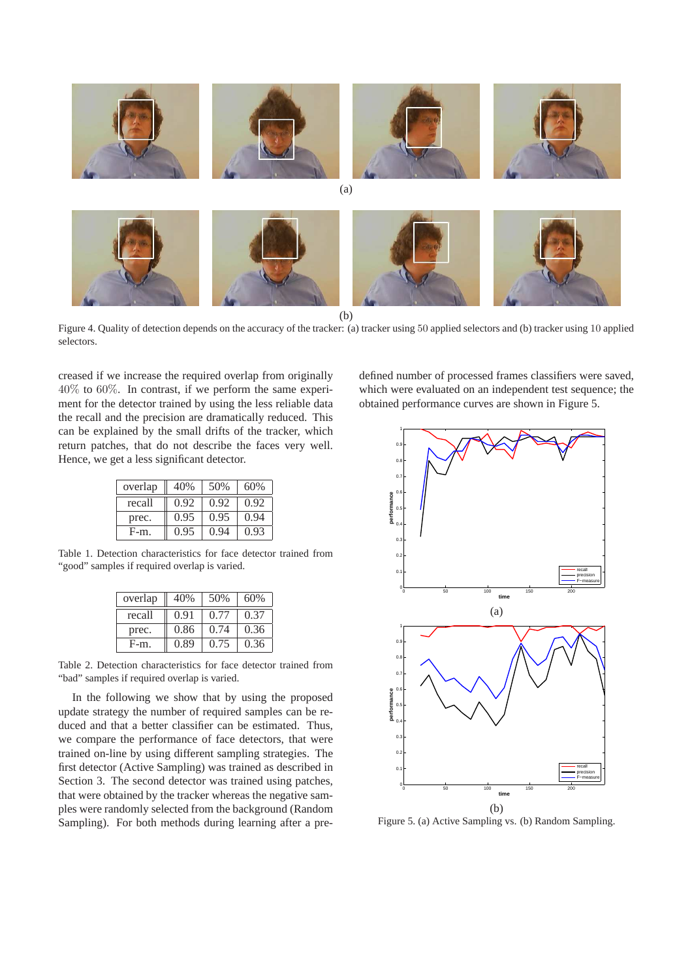

Figure 4. Quality of detection depends on the accuracy of the tracker: (a) tracker using 50 applied selectors and (b) tracker using 10 applied selectors.

creased if we increase the required overlap from originally 40% to 60%. In contrast, if we perform the same experiment for the detector trained by using the less reliable data the recall and the precision are dramatically reduced. This can be explained by the small drifts of the tracker, which return patches, that do not describe the faces very well. Hence, we get a less significant detector.

| overlap | 40%  | 50%    | 60%    |
|---------|------|--------|--------|
| recall  | 0.92 | 0.92   | 0.92   |
| prec.   | 0.95 | 0.95   | (0.94) |
| F-m.    | 0.95 | (0.94) | 0.93   |

Table 1. Detection characteristics for face detector trained from "good" samples if required overlap is varied.

| overlap | 40%  | 50%  | 60%  |
|---------|------|------|------|
| recall  | 0.91 | 0.77 | 0.37 |
| prec.   | 0.86 | 0.74 | 0.36 |
| F-m.    | 0.89 | 0.75 | 0.36 |

Table 2. Detection characteristics for face detector trained from "bad" samples if required overlap is varied.

In the following we show that by using the proposed update strategy the number of required samples can be reduced and that a better classifier can be estimated. Thus, we compare the performance of face detectors, that were trained on-line by using different sampling strategies. The first detector (Active Sampling) was trained as described in Section 3. The second detector was trained using patches, that were obtained by the tracker whereas the negative samples were randomly selected from the background (Random Sampling). For both methods during learning after a predefined number of processed frames classifiers were saved, which were evaluated on an independent test sequence; the obtained performance curves are shown in Figure 5.



Figure 5. (a) Active Sampling vs. (b) Random Sampling.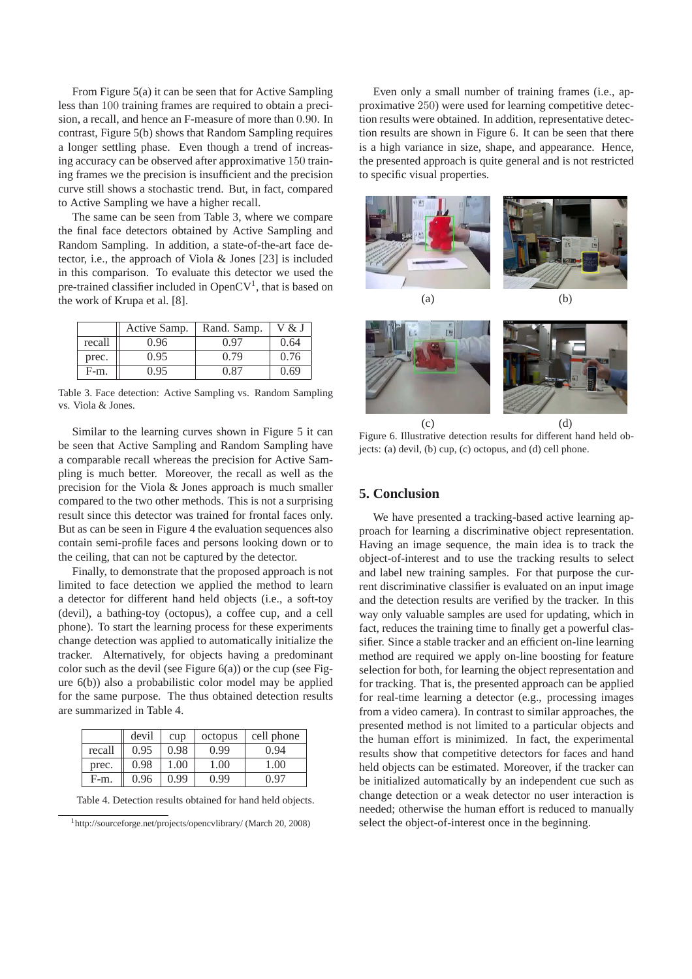From Figure 5(a) it can be seen that for Active Sampling less than 100 training frames are required to obtain a precision, a recall, and hence an F-measure of more than 0.90. In contrast, Figure 5(b) shows that Random Sampling requires a longer settling phase. Even though a trend of increasing accuracy can be observed after approximative 150 training frames we the precision is insufficient and the precision curve still shows a stochastic trend. But, in fact, compared to Active Sampling we have a higher recall.

The same can be seen from Table 3, where we compare the final face detectors obtained by Active Sampling and Random Sampling. In addition, a state-of-the-art face detector, i.e., the approach of Viola & Jones [23] is included in this comparison. To evaluate this detector we used the pre-trained classifier included in  $OpenCV<sup>1</sup>$ , that is based on the work of Krupa et al. [8].

|        | Active Samp. | Rand. Samp. | V & J |
|--------|--------------|-------------|-------|
| recall | 0.96         | (197)       | 0.64  |
| prec.  | 0.95         | 0.79        | 0.76  |
| F-m.   | 1.95         | ገ Ջ7        | 0.69  |

Table 3. Face detection: Active Sampling vs. Random Sampling vs. Viola & Jones.

Similar to the learning curves shown in Figure 5 it can be seen that Active Sampling and Random Sampling have a comparable recall whereas the precision for Active Sampling is much better. Moreover, the recall as well as the precision for the Viola & Jones approach is much smaller compared to the two other methods. This is not a surprising result since this detector was trained for frontal faces only. But as can be seen in Figure 4 the evaluation sequences also contain semi-profile faces and persons looking down or to the ceiling, that can not be captured by the detector.

Finally, to demonstrate that the proposed approach is not limited to face detection we applied the method to learn a detector for different hand held objects (i.e., a soft-toy (devil), a bathing-toy (octopus), a coffee cup, and a cell phone). To start the learning process for these experiments change detection was applied to automatically initialize the tracker. Alternatively, for objects having a predominant color such as the devil (see Figure  $6(a)$ ) or the cup (see Figure 6(b)) also a probabilistic color model may be applied for the same purpose. The thus obtained detection results are summarized in Table 4.

|        | devil | cup  | octopus | cell phone |
|--------|-------|------|---------|------------|
| recall | 0.95  | 0.98 | 0.99    | 0.94       |
| prec.  | 0.98  | 1.00 | 1.00    | 1.00       |
| $F-m.$ | 0.96  | 0.99 | 0.99    | n ar       |

Table 4. Detection results obtained for hand held objects.

Even only a small number of training frames (i.e., approximative 250) were used for learning competitive detection results were obtained. In addition, representative detection results are shown in Figure 6. It can be seen that there is a high variance in size, shape, and appearance. Hence, the presented approach is quite general and is not restricted to specific visual properties.





(c) (d) Figure 6. Illustrative detection results for different hand held objects: (a) devil, (b) cup, (c) octopus, and (d) cell phone.

# **5. Conclusion**

We have presented a tracking-based active learning approach for learning a discriminative object representation. Having an image sequence, the main idea is to track the object-of-interest and to use the tracking results to select and label new training samples. For that purpose the current discriminative classifier is evaluated on an input image and the detection results are verified by the tracker. In this way only valuable samples are used for updating, which in fact, reduces the training time to finally get a powerful classifier. Since a stable tracker and an efficient on-line learning method are required we apply on-line boosting for feature selection for both, for learning the object representation and for tracking. That is, the presented approach can be applied for real-time learning a detector (e.g., processing images from a video camera). In contrast to similar approaches, the presented method is not limited to a particular objects and the human effort is minimized. In fact, the experimental results show that competitive detectors for faces and hand held objects can be estimated. Moreover, if the tracker can be initialized automatically by an independent cue such as change detection or a weak detector no user interaction is needed; otherwise the human effort is reduced to manually select the object-of-interest once in the beginning.

<sup>1</sup>http://sourceforge.net/projects/opencvlibrary/ (March 20, 2008)